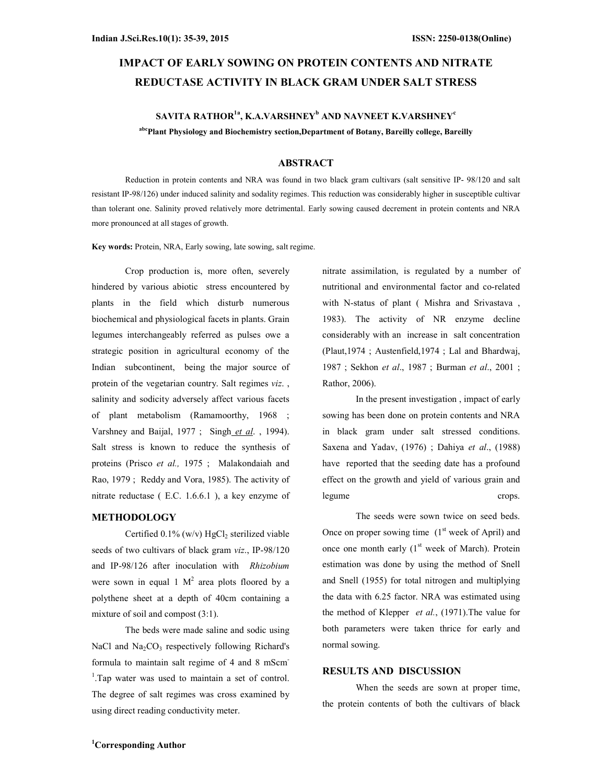# IMPACT OF EARLY SOWING ON PROTEIN CONTENTS AND NITRATE REDUCTASE ACTIVITY IN BLACK GRAM UNDER SALT STRESS

## SAVITA RATHOR $^{1a}$ , K.A.VARSHNEY $^b$  and navneet K.Varshney $^{\rm c}$ abcPlant Physiology and Biochemistry section,Department of Botany, Bareilly college, Bareilly

### ABSTRACT

Reduction in protein contents and NRA was found in two black gram cultivars (salt sensitive IP- 98/120 and salt resistant IP-98/126) under induced salinity and sodality regimes. This reduction was considerably higher in susceptible cultivar than tolerant one. Salinity proved relatively more detrimental. Early sowing caused decrement in protein contents and NRA more pronounced at all stages of growth.

Key words: Protein, NRA, Early sowing, late sowing, salt regime.

Crop production is, more often, severely hindered by various abiotic stress encountered by plants in the field which disturb numerous biochemical and physiological facets in plants. Grain legumes interchangeably referred as pulses owe a strategic position in agricultural economy of the Indian subcontinent, being the major source of protein of the vegetarian country. Salt regimes viz. , salinity and sodicity adversely affect various facets of plant metabolism (Ramamoorthy, 1968 ; Varshney and Baijal, 1977; Singh et al., 1994). Salt stress is known to reduce the synthesis of proteins (Prisco et al., 1975 ; Malakondaiah and Rao, 1979 ; Reddy and Vora, 1985). The activity of nitrate reductase ( E.C. 1.6.6.1 ), a key enzyme of

### METHODOLOGY

Certified  $0.1\%$  (w/v) HgCl<sub>2</sub> sterilized viable seeds of two cultivars of black gram viz., IP-98/120 and IP-98/126 after inoculation with Rhizobium were sown in equal 1  $M^2$  area plots floored by a polythene sheet at a depth of 40cm containing a mixture of soil and compost (3:1).

The beds were made saline and sodic using NaCl and  $Na<sub>2</sub>CO<sub>3</sub>$  respectively following Richard's formula to maintain salt regime of 4 and 8 mScm-<sup>1</sup>. Tap water was used to maintain a set of control. The degree of salt regimes was cross examined by using direct reading conductivity meter.

nitrate assimilation, is regulated by a number of nutritional and environmental factor and co-related with N-status of plant ( Mishra and Srivastava , 1983). The activity of NR enzyme decline considerably with an increase in salt concentration (Plaut,1974 ; Austenfield,1974 ; Lal and Bhardwaj, 1987 ; Sekhon et al., 1987 ; Burman et al., 2001 ; Rathor, 2006).

In the present investigation , impact of early sowing has been done on protein contents and NRA in black gram under salt stressed conditions. Saxena and Yadav, (1976) ; Dahiya et al., (1988) have reported that the seeding date has a profound effect on the growth and yield of various grain and legume crops.

The seeds were sown twice on seed beds. Once on proper sowing time  $(1<sup>st</sup> week of April)$  and once one month early  $(1<sup>st</sup> week of March)$ . Protein estimation was done by using the method of Snell and Snell (1955) for total nitrogen and multiplying the data with 6.25 factor. NRA was estimated using the method of Klepper et al., (1971). The value for both parameters were taken thrice for early and normal sowing.

## RESULTS AND DISCUSSION

When the seeds are sown at proper time, the protein contents of both the cultivars of black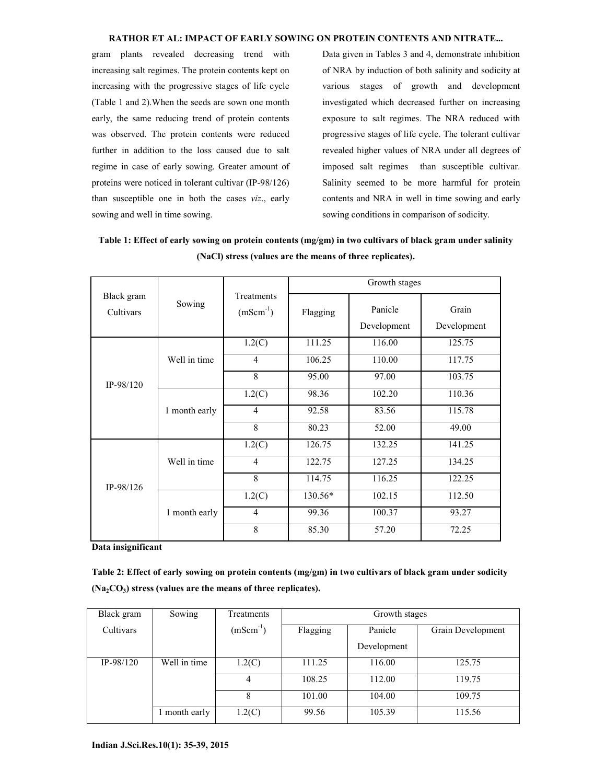#### RATHOR ET AL: IMPACT OF EARLY SOWING ON PROTEIN CONTENTS AND NITRATE...

gram plants revealed decreasing trend with increasing salt regimes. The protein contents kept on increasing with the progressive stages of life cycle (Table 1 and 2).When the seeds are sown one month early, the same reducing trend of protein contents was observed. The protein contents were reduced further in addition to the loss caused due to salt regime in case of early sowing. Greater amount of proteins were noticed in tolerant cultivar (IP-98/126) than susceptible one in both the cases viz., early sowing and well in time sowing.

Data given in Tables 3 and 4, demonstrate inhibition of NRA by induction of both salinity and sodicity at various stages of growth and development investigated which decreased further on increasing exposure to salt regimes. The NRA reduced with progressive stages of life cycle. The tolerant cultivar revealed higher values of NRA under all degrees of imposed salt regimes than susceptible cultivar. Salinity seemed to be more harmful for protein contents and NRA in well in time sowing and early sowing conditions in comparison of sodicity.

Table 1: Effect of early sowing on protein contents (mg/gm) in two cultivars of black gram under salinity (NaCl) stress (values are the means of three replicates).

| Black gram<br>Cultivars | Sowing        |                             | Growth stages |                        |                      |
|-------------------------|---------------|-----------------------------|---------------|------------------------|----------------------|
|                         |               | Treatments<br>$(mScm^{-1})$ | Flagging      | Panicle<br>Development | Grain<br>Development |
|                         |               | 1.2(C)                      | 111.25        | 116.00                 | 125.75               |
|                         | Well in time  | $\overline{4}$              | 106.25        | 110.00                 | 117.75               |
| $IP-98/120$             |               | 8                           | 95.00         | 97.00                  | 103.75               |
|                         | 1 month early | 1.2(C)                      | 98.36         | 102.20                 | 110.36               |
|                         |               | 4                           | 92.58         | 83.56                  | 115.78               |
|                         |               | 8                           | 80.23         | 52.00                  | 49.00                |
| IP-98/126               | Well in time  | 1.2(C)                      | 126.75        | 132.25                 | 141.25               |
|                         |               | $\overline{4}$              | 122.75        | 127.25                 | 134.25               |
|                         |               | 8                           | 114.75        | 116.25                 | 122.25               |
|                         | 1 month early | 1.2(C)                      | 130.56*       | 102.15                 | 112.50               |
|                         |               | $\overline{4}$              | 99.36         | 100.37                 | 93.27                |
|                         |               | 8                           | 85.30         | 57.20                  | 72.25                |

Data insignificant

Table 2: Effect of early sowing on protein contents (mg/gm) in two cultivars of black gram under sodicity  $(Na<sub>2</sub>CO<sub>3</sub>)$  stress (values are the means of three replicates).

| Black gram  | Sowing        | Treatments    | Growth stages |             |                   |  |  |
|-------------|---------------|---------------|---------------|-------------|-------------------|--|--|
| Cultivars   |               | $(mScm^{-1})$ | Flagging      | Panicle     | Grain Development |  |  |
|             |               |               |               | Development |                   |  |  |
| $IP-98/120$ | Well in time  | 1.2(C)        | 111.25        | 116.00      | 125.75            |  |  |
|             |               | 4             | 108.25        | 112.00      | 119.75            |  |  |
|             |               | 8             | 101.00        | 104.00      | 109.75            |  |  |
|             | 1 month early | 1.2(C)        | 99.56         | 105.39      | 115.56            |  |  |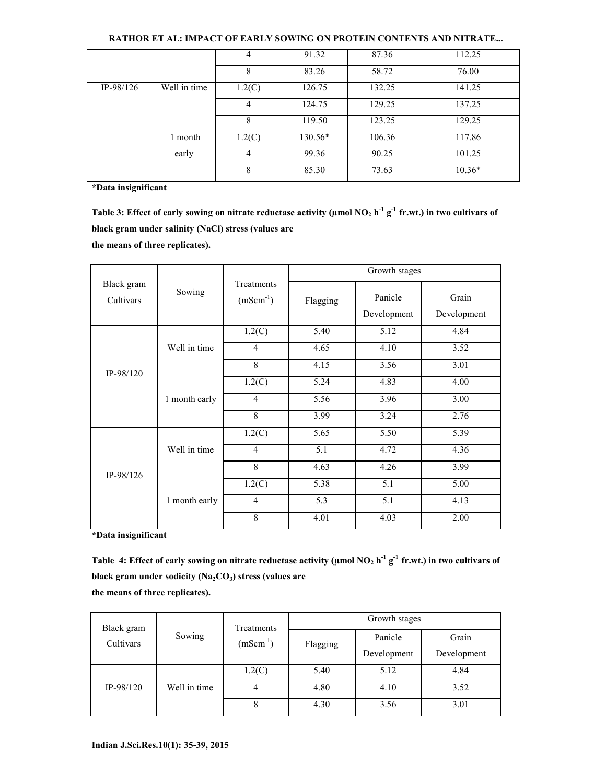|             |              | 4      | 91.32     | 87.36  | 112.25   |
|-------------|--------------|--------|-----------|--------|----------|
|             |              | 8      | 83.26     | 58.72  | 76.00    |
| $IP-98/126$ | Well in time | 1.2(C) | 126.75    | 132.25 | 141.25   |
|             |              | 4      | 124.75    | 129.25 | 137.25   |
|             |              | 8      | 119.50    | 123.25 | 129.25   |
|             | 1 month      | 1.2(C) | $130.56*$ | 106.36 | 117.86   |
|             | early        | 4      | 99.36     | 90.25  | 101.25   |
|             |              | 8      | 85.30     | 73.63  | $10.36*$ |

## RATHOR ET AL: IMPACT OF EARLY SOWING ON PROTEIN CONTENTS AND NITRATE...

\*Data insignificant

Table 3: Effect of early sowing on nitrate reductase activity ( $\mu$ mol NO<sub>2</sub> h<sup>-1</sup> g<sup>-1</sup> fr.wt.) in two cultivars of black gram under salinity (NaCl) stress (values are

the means of three replicates).

|                         |               |                             | Growth stages |                        |                      |
|-------------------------|---------------|-----------------------------|---------------|------------------------|----------------------|
| Black gram<br>Cultivars | Sowing        | Treatments<br>$(mSem^{-1})$ | Flagging      | Panicle<br>Development | Grain<br>Development |
|                         | Well in time  | 1.2(C)                      | 5.40          | 5.12                   | 4.84                 |
|                         |               | $\overline{4}$              | 4.65          | 4.10                   | 3.52                 |
| $IP-98/120$             |               | 8                           | 4.15          | 3.56                   | 3.01                 |
|                         | 1 month early | 1.2(C)                      | 5.24          | 4.83                   | 4.00                 |
|                         |               | $\overline{4}$              | 5.56          | 3.96                   | 3.00                 |
|                         |               | 8                           | 3.99          | 3.24                   | 2.76                 |
| $IP-98/126$             | Well in time  | 1.2(C)                      | 5.65          | 5.50                   | 5.39                 |
|                         |               | $\overline{4}$              | 5.1           | 4.72                   | 4.36                 |
|                         |               | 8                           | 4.63          | 4.26                   | 3.99                 |
|                         | 1 month early | 1.2(C)                      | 5.38          | 5.1                    | 5.00                 |
|                         |               | $\overline{4}$              | 5.3           | 5.1                    | 4.13                 |
|                         |               | 8                           | 4.01          | 4.03                   | 2.00                 |

\*Data insignificant

Table 4: Effect of early sowing on nitrate reductase activity ( $\mu$ mol NO<sub>2</sub> h<sup>-1</sup> g<sup>-1</sup> fr.wt.) in two cultivars of black gram under sodicity  $(Na_2CO_3)$  stress (values are the means of three replicates).

| Black gram<br>Cultivars | Sowing       | Treatments<br>$(mScm^{-1})$ | Growth stages |             |             |
|-------------------------|--------------|-----------------------------|---------------|-------------|-------------|
|                         |              |                             | Flagging      | Panicle     | Grain       |
|                         |              |                             |               | Development | Development |
|                         |              | 1.2(C)                      | 5.40          | 5.12        | 4.84        |
| $IP-98/120$             | Well in time | 4                           | 4.80          | 4.10        | 3.52        |
|                         |              | 8                           | 4.30          | 3.56        | 3.01        |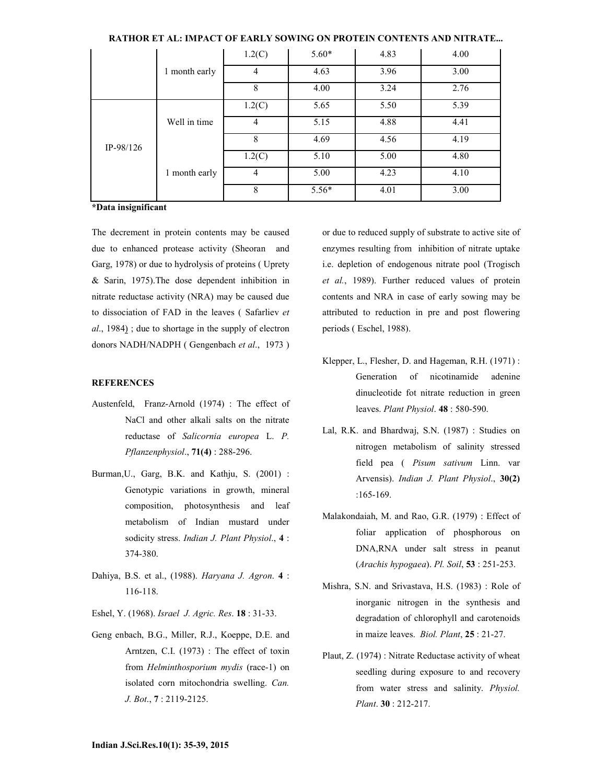|             | 1 month early | 1.2(C)         | $5.60*$ | 4.83 | 4.00 |
|-------------|---------------|----------------|---------|------|------|
|             |               | $\overline{4}$ | 4.63    | 3.96 | 3.00 |
|             |               | 8              | 4.00    | 3.24 | 2.76 |
| $IP-98/126$ |               | 1.2(C)         | 5.65    | 5.50 | 5.39 |
|             | Well in time  | $\overline{4}$ | 5.15    | 4.88 | 4.41 |
|             |               | 8              | 4.69    | 4.56 | 4.19 |
|             |               | 1.2(C)         | 5.10    | 5.00 | 4.80 |
|             | 1 month early | $\overline{4}$ | 5.00    | 4.23 | 4.10 |
|             |               | 8              | $5.56*$ | 4.01 | 3.00 |

RATHOR ET AL: IMPACT OF EARLY SOWING ON PROTEIN CONTENTS AND NITRATE...

\*Data insignificant

The decrement in protein contents may be caused due to enhanced protease activity (Sheoran and Garg, 1978) or due to hydrolysis of proteins ( Uprety & Sarin, 1975).The dose dependent inhibition in nitrate reductase activity (NRA) may be caused due to dissociation of FAD in the leaves ( Safarliev et al., 1984) ; due to shortage in the supply of electron donors NADH/NADPH ( Gengenbach et al., 1973 )

#### **REFERENCES**

- Austenfeld, Franz-Arnold (1974) : The effect of NaCl and other alkali salts on the nitrate reductase of Salicornia europea L. P. Pflanzenphysiol., 71(4) : 288-296.
- Burman,U., Garg, B.K. and Kathju, S. (2001) : Genotypic variations in growth, mineral composition, photosynthesis and leaf metabolism of Indian mustard under sodicity stress. Indian J. Plant Physiol., 4 : 374-380.
- Dahiya, B.S. et al., (1988). Haryana J. Agron. 4 : 116-118.
- Eshel, Y. (1968). Israel J. Agric. Res. 18 : 31-33.
- Geng enbach, B.G., Miller, R.J., Koeppe, D.E. and Arntzen, C.I. (1973) : The effect of toxin from Helminthosporium mydis (race-1) on isolated corn mitochondria swelling. Can. J. Bot., 7 : 2119-2125.

or due to reduced supply of substrate to active site of enzymes resulting from inhibition of nitrate uptake i.e. depletion of endogenous nitrate pool (Trogisch et al., 1989). Further reduced values of protein contents and NRA in case of early sowing may be attributed to reduction in pre and post flowering periods ( Eschel, 1988).

- Klepper, L., Flesher, D. and Hageman, R.H. (1971) : Generation of nicotinamide adenine dinucleotide fot nitrate reduction in green leaves. Plant Physiol. 48 : 580-590.
- Lal, R.K. and Bhardwaj, S.N. (1987) : Studies on nitrogen metabolism of salinity stressed field pea ( Pisum sativum Linn. var Arvensis). Indian J. Plant Physiol., 30(2) :165-169.
- Malakondaiah, M. and Rao, G.R. (1979) : Effect of foliar application of phosphorous on DNA,RNA under salt stress in peanut (Arachis hypogaea). Pl. Soil, 53 : 251-253.
- Mishra, S.N. and Srivastava, H.S. (1983) : Role of inorganic nitrogen in the synthesis and degradation of chlorophyll and carotenoids in maize leaves. Biol. Plant, 25 : 21-27.
- Plaut, Z. (1974) : Nitrate Reductase activity of wheat seedling during exposure to and recovery from water stress and salinity. Physiol. Plant. 30 : 212-217.